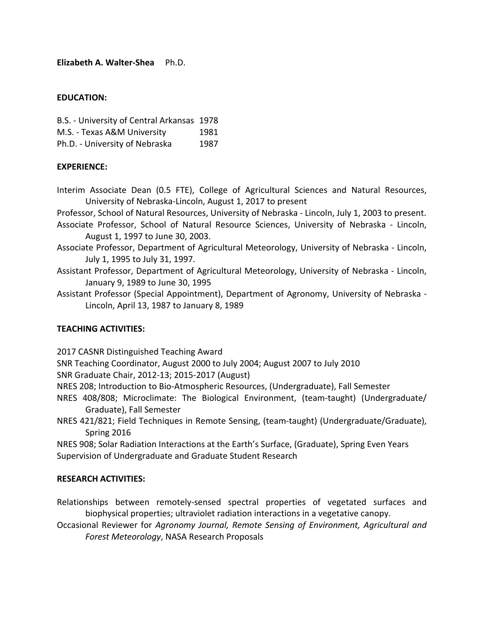**Elizabeth A. Walter‐Shea** Ph.D.

### **EDUCATION:**

B.S. ‐ University of Central Arkansas 1978 M.S. - Texas A&M University 1981

Ph.D. - University of Nebraska 1987

# **EXPERIENCE:**

- Interim Associate Dean (0.5 FTE), College of Agricultural Sciences and Natural Resources, University of Nebraska‐Lincoln, August 1, 2017 to present
- Professor, School of Natural Resources, University of Nebraska ‐ Lincoln, July 1, 2003 to present.
- Associate Professor, School of Natural Resource Sciences, University of Nebraska ‐ Lincoln, August 1, 1997 to June 30, 2003.
- Associate Professor, Department of Agricultural Meteorology, University of Nebraska ‐ Lincoln, July 1, 1995 to July 31, 1997.
- Assistant Professor, Department of Agricultural Meteorology, University of Nebraska ‐ Lincoln, January 9, 1989 to June 30, 1995

Assistant Professor (Special Appointment), Department of Agronomy, University of Nebraska ‐ Lincoln, April 13, 1987 to January 8, 1989

# **TEACHING ACTIVITIES:**

2017 CASNR Distinguished Teaching Award

SNR Teaching Coordinator, August 2000 to July 2004; August 2007 to July 2010

SNR Graduate Chair, 2012‐13; 2015‐2017 (August)

NRES 208; Introduction to Bio‐Atmospheric Resources, (Undergraduate), Fall Semester

- NRES 408/808; Microclimate: The Biological Environment, (team-taught) (Undergraduate/ Graduate), Fall Semester
- NRES 421/821; Field Techniques in Remote Sensing, (team‐taught) (Undergraduate/Graduate), Spring 2016

NRES 908; Solar Radiation Interactions at the Earth's Surface, (Graduate), Spring Even Years Supervision of Undergraduate and Graduate Student Research

### **RESEARCH ACTIVITIES:**

Relationships between remotely‐sensed spectral properties of vegetated surfaces and biophysical properties; ultraviolet radiation interactions in a vegetative canopy.

Occasional Reviewer for *Agronomy Journal, Remote Sensing of Environment, Agricultural and Forest Meteorology*, NASA Research Proposals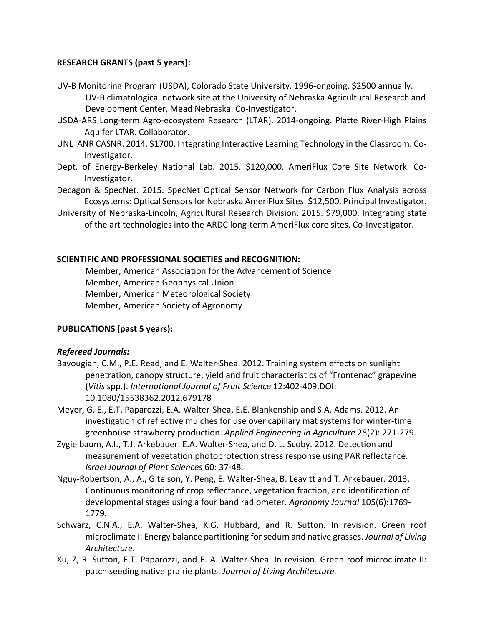### **RESEARCH GRANTS (past 5 years):**

- UV‐B Monitoring Program (USDA), Colorado State University. 1996‐ongoing. \$2500 annually. UV‐B climatological network site at the University of Nebraska Agricultural Research and Development Center, Mead Nebraska. Co‐Investigator.
- USDA‐ARS Long‐term Agro‐ecosystem Research (LTAR). 2014‐ongoing. Platte River‐High Plains Aquifer LTAR. Collaborator.
- UNL IANR CASNR. 2014. \$1700. Integrating Interactive Learning Technology in the Classroom. Co‐ Investigator.
- Dept. of Energy-Berkeley National Lab. 2015. \$120,000. AmeriFlux Core Site Network. Co-Investigator.
- Decagon & SpecNet. 2015. SpecNet Optical Sensor Network for Carbon Flux Analysis across Ecosystems: Optical Sensorsfor Nebraska AmeriFlux Sites. \$12,500. Principal Investigator.
- University of Nebraska‐Lincoln, Agricultural Research Division. 2015. \$79,000. Integrating state of the art technologies into the ARDC long‐term AmeriFlux core sites. Co‐Investigator.

### **SCIENTIFIC AND PROFESSIONAL SOCIETIES and RECOGNITION:**

Member, American Association for the Advancement of Science Member, American Geophysical Union Member, American Meteorological Society Member, American Society of Agronomy

# **PUBLICATIONS (past 5 years):**

# *Refereed Journals:*

- Bavougian, C.M., P.E. Read, and E. Walter‐Shea. 2012. Training system effects on sunlight penetration, canopy structure, yield and fruit characteristics of "Frontenac" grapevine (*Vitis* spp.). *International Journal of Fruit Science* 12:402‐409.DOI: 10.1080/15538362.2012.679178
- Meyer, G. E., E.T. Paparozzi, E.A. Walter‐Shea, E.E. Blankenship and S.A. Adams. 2012. An investigation of reflective mulches for use over capillary mat systems for winter‐time greenhouse strawberry production. *Applied Engineering in Agriculture* 28(2): 271‐279.
- Zygielbaum, A.I., T.J. Arkebauer, E.A. Walter‐Shea, and D. L. Scoby. 2012. Detection and measurement of vegetation photoprotection stress response using PAR reflectance*. Israel Journal of Plant Sciences* 60: 37‐48.
- Nguy‐Robertson, A., A., Gitelson, Y. Peng, E. Walter‐Shea, B. Leavitt and T. Arkebauer. 2013. Continuous monitoring of crop reflectance, vegetation fraction, and identification of developmental stages using a four band radiometer. *Agronomy Journal* 105(6):1769‐ 1779.
- Schwarz, C.N.A., E.A. Walter‐Shea, K.G. Hubbard, and R. Sutton. In revision. Green roof microclimate I: Energy balance partitioning forsedum and native grasses. *Journal of Living Architecture*.
- Xu, Z, R. Sutton, E.T. Paparozzi, and E. A. Walter‐Shea. In revision. Green roof microclimate II: patch seeding native prairie plants. *Journal of Living Architecture.*